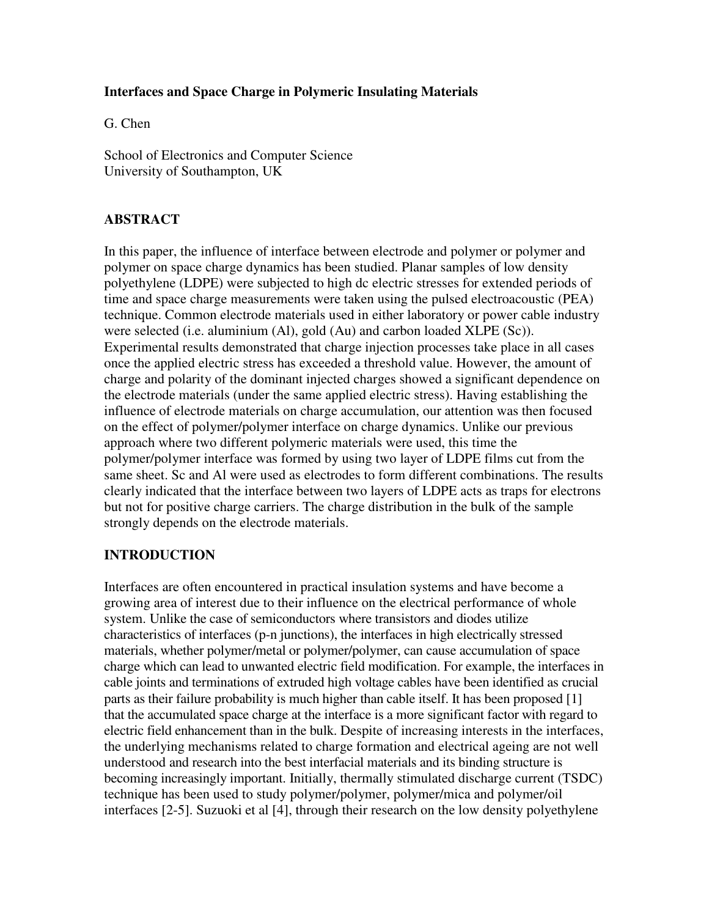#### **Interfaces and Space Charge in Polymeric Insulating Materials**

G. Chen

School of Electronics and Computer Science University of Southampton, UK

### **ABSTRACT**

In this paper, the influence of interface between electrode and polymer or polymer and polymer on space charge dynamics has been studied. Planar samples of low density polyethylene (LDPE) were subjected to high dc electric stresses for extended periods of time and space charge measurements were taken using the pulsed electroacoustic (PEA) technique. Common electrode materials used in either laboratory or power cable industry were selected (i.e. aluminium (Al), gold (Au) and carbon loaded XLPE (Sc)). Experimental results demonstrated that charge injection processes take place in all cases once the applied electric stress has exceeded a threshold value. However, the amount of charge and polarity of the dominant injected charges showed a significant dependence on the electrode materials (under the same applied electric stress). Having establishing the influence of electrode materials on charge accumulation, our attention was then focused on the effect of polymer/polymer interface on charge dynamics. Unlike our previous approach where two different polymeric materials were used, this time the polymer/polymer interface was formed by using two layer of LDPE films cut from the same sheet. Sc and Al were used as electrodes to form different combinations. The results clearly indicated that the interface between two layers of LDPE acts as traps for electrons but not for positive charge carriers. The charge distribution in the bulk of the sample strongly depends on the electrode materials.

#### **INTRODUCTION**

Interfaces are often encountered in practical insulation systems and have become a growing area of interest due to their influence on the electrical performance of whole system. Unlike the case of semiconductors where transistors and diodes utilize characteristics of interfaces (p-n junctions), the interfaces in high electrically stressed materials, whether polymer/metal or polymer/polymer, can cause accumulation of space charge which can lead to unwanted electric field modification. For example, the interfaces in cable joints and terminations of extruded high voltage cables have been identified as crucial parts as their failure probability is much higher than cable itself. It has been proposed [1] that the accumulated space charge at the interface is a more significant factor with regard to electric field enhancement than in the bulk. Despite of increasing interests in the interfaces, the underlying mechanisms related to charge formation and electrical ageing are not well understood and research into the best interfacial materials and its binding structure is becoming increasingly important. Initially, thermally stimulated discharge current (TSDC) technique has been used to study polymer/polymer, polymer/mica and polymer/oil interfaces [2-5]. Suzuoki et al [4], through their research on the low density polyethylene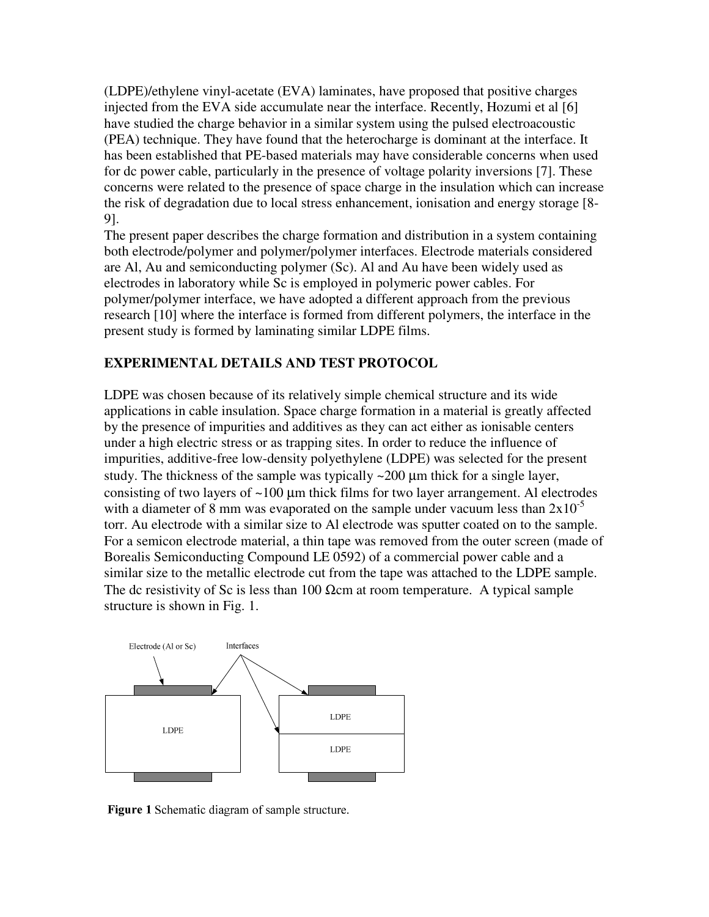(LDPE)/ethylene vinyl-acetate (EVA) laminates, have proposed that positive charges injected from the EVA side accumulate near the interface. Recently, Hozumi et al [6] have studied the charge behavior in a similar system using the pulsed electroacoustic (PEA) technique. They have found that the heterocharge is dominant at the interface. It has been established that PE-based materials may have considerable concerns when used for dc power cable, particularly in the presence of voltage polarity inversions [7]. These concerns were related to the presence of space charge in the insulation which can increase the risk of degradation due to local stress enhancement, ionisation and energy storage [8- 9].

The present paper describes the charge formation and distribution in a system containing both electrode/polymer and polymer/polymer interfaces. Electrode materials considered are Al, Au and semiconducting polymer (Sc). Al and Au have been widely used as electrodes in laboratory while Sc is employed in polymeric power cables. For polymer/polymer interface, we have adopted a different approach from the previous research [10] where the interface is formed from different polymers, the interface in the present study is formed by laminating similar LDPE films.

## **EXPERIMENTAL DETAILS AND TEST PROTOCOL**

LDPE was chosen because of its relatively simple chemical structure and its wide applications in cable insulation. Space charge formation in a material is greatly affected by the presence of impurities and additives as they can act either as ionisable centers under a high electric stress or as trapping sites. In order to reduce the influence of impurities, additive-free low-density polyethylene (LDPE) was selected for the present study. The thickness of the sample was typically  $\sim$  200  $\mu$ m thick for a single layer, consisting of two layers of  $\sim 100 \mu m$  thick films for two layer arrangement. Al electrodes with a diameter of 8 mm was evaporated on the sample under vacuum less than  $2x10^{-5}$ torr. Au electrode with a similar size to Al electrode was sputter coated on to the sample. For a semicon electrode material, a thin tape was removed from the outer screen (made of Borealis Semiconducting Compound LE 0592) of a commercial power cable and a similar size to the metallic electrode cut from the tape was attached to the LDPE sample. The dc resistivity of Sc is less than 100  $\Omega$ cm at room temperature. A typical sample structure is shown in Fig. 1.



Figure 1 Schematic diagram of sample structure.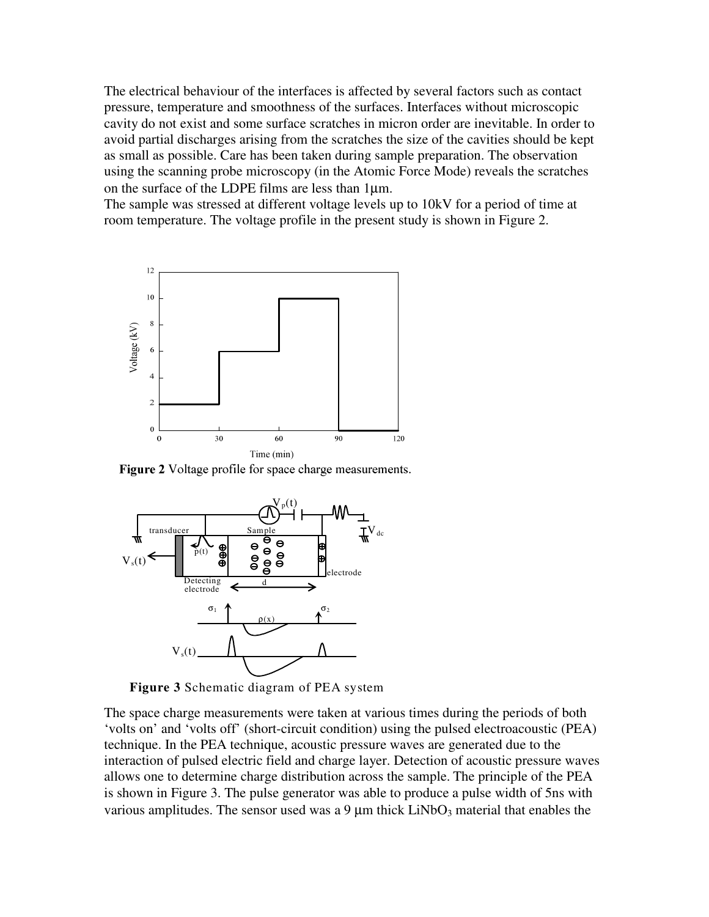The electrical behaviour of the interfaces is affected by several factors such as contact pressure, temperature and smoothness of the surfaces. Interfaces without microscopic cavity do not exist and some surface scratches in micron order are inevitable. In order to avoid partial discharges arising from the scratches the size of the cavities should be kept as small as possible. Care has been taken during sample preparation. The observation using the scanning probe microscopy (in the Atomic Force Mode) reveals the scratches on the surface of the LDPE films are less than 1µm.

The sample was stressed at different voltage levels up to 10kV for a period of time at room temperature. The voltage profile in the present study is shown in Figure 2.



Figure 2 Voltage profile for space charge measurements.



**Figure 3** Schematic diagram of PEA system

The space charge measurements were taken at various times during the periods of both 'volts on' and 'volts off' (short-circuit condition) using the pulsed electroacoustic (PEA) technique. In the PEA technique, acoustic pressure waves are generated due to the interaction of pulsed electric field and charge layer. Detection of acoustic pressure waves allows one to determine charge distribution across the sample. The principle of the PEA is shown in Figure 3. The pulse generator was able to produce a pulse width of 5ns with various amplitudes. The sensor used was a 9  $\mu$ m thick LiNbO<sub>3</sub> material that enables the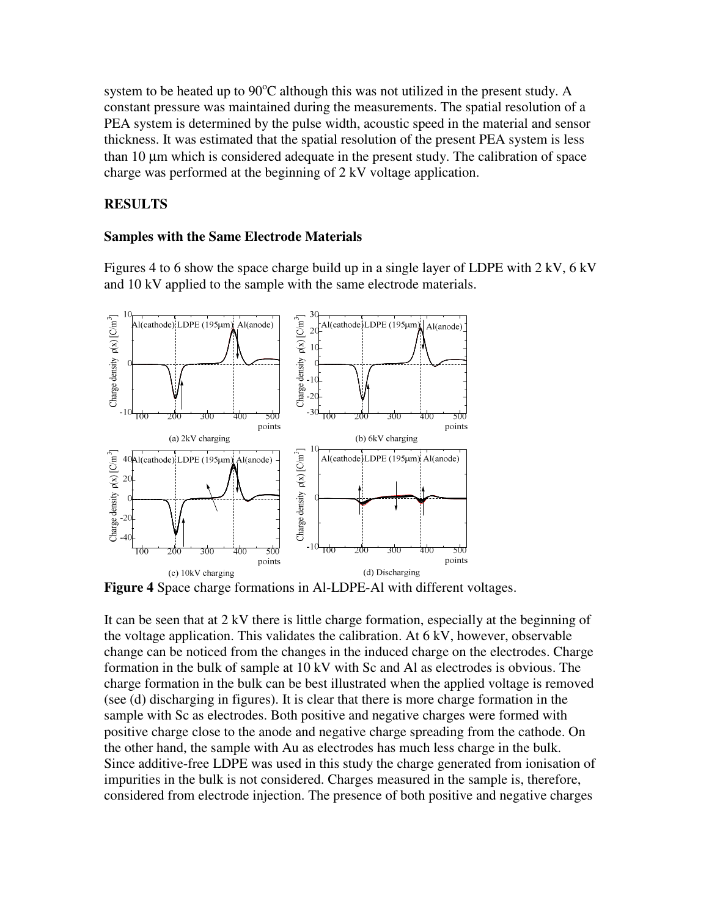system to be heated up to  $90^{\circ}$ C although this was not utilized in the present study. A constant pressure was maintained during the measurements. The spatial resolution of a PEA system is determined by the pulse width, acoustic speed in the material and sensor thickness. It was estimated that the spatial resolution of the present PEA system is less than 10 µm which is considered adequate in the present study. The calibration of space charge was performed at the beginning of 2 kV voltage application.

### **RESULTS**

#### **Samples with the Same Electrode Materials**

Figures 4 to 6 show the space charge build up in a single layer of LDPE with 2 kV, 6 kV and 10 kV applied to the sample with the same electrode materials.



**Figure 4** Space charge formations in Al-LDPE-Al with different voltages.

It can be seen that at 2 kV there is little charge formation, especially at the beginning of the voltage application. This validates the calibration. At 6 kV, however, observable change can be noticed from the changes in the induced charge on the electrodes. Charge formation in the bulk of sample at 10 kV with Sc and Al as electrodes is obvious. The charge formation in the bulk can be best illustrated when the applied voltage is removed (see (d) discharging in figures). It is clear that there is more charge formation in the sample with Sc as electrodes. Both positive and negative charges were formed with positive charge close to the anode and negative charge spreading from the cathode. On the other hand, the sample with Au as electrodes has much less charge in the bulk. Since additive-free LDPE was used in this study the charge generated from ionisation of impurities in the bulk is not considered. Charges measured in the sample is, therefore, considered from electrode injection. The presence of both positive and negative charges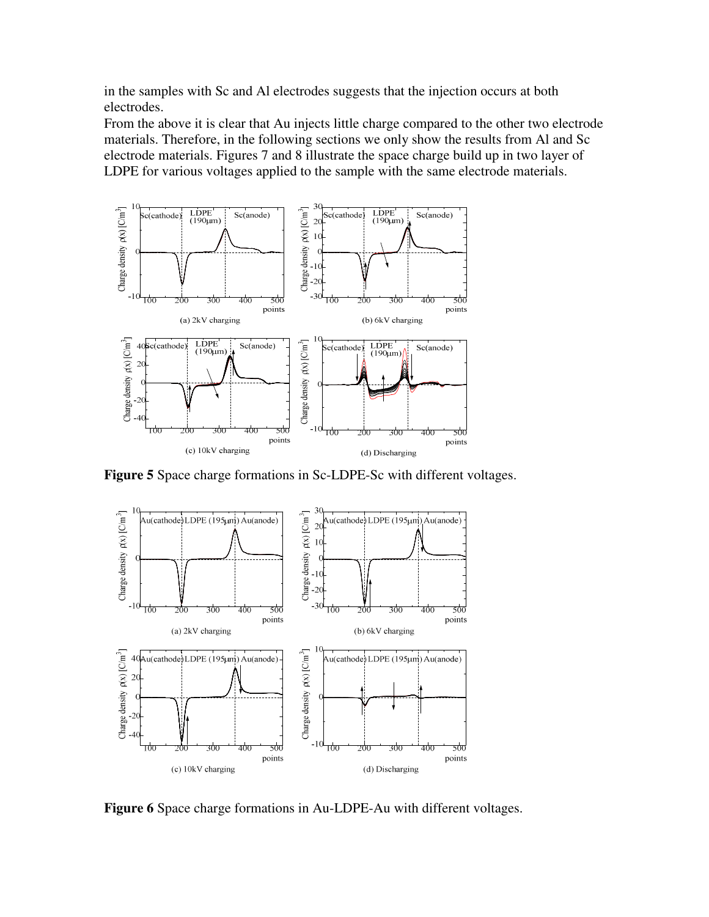in the samples with Sc and Al electrodes suggests that the injection occurs at both electrodes.

From the above it is clear that Au injects little charge compared to the other two electrode materials. Therefore, in the following sections we only show the results from Al and Sc electrode materials. Figures 7 and 8 illustrate the space charge build up in two layer of LDPE for various voltages applied to the sample with the same electrode materials.



**Figure 5** Space charge formations in Sc-LDPE-Sc with different voltages.



**Figure 6** Space charge formations in Au-LDPE-Au with different voltages.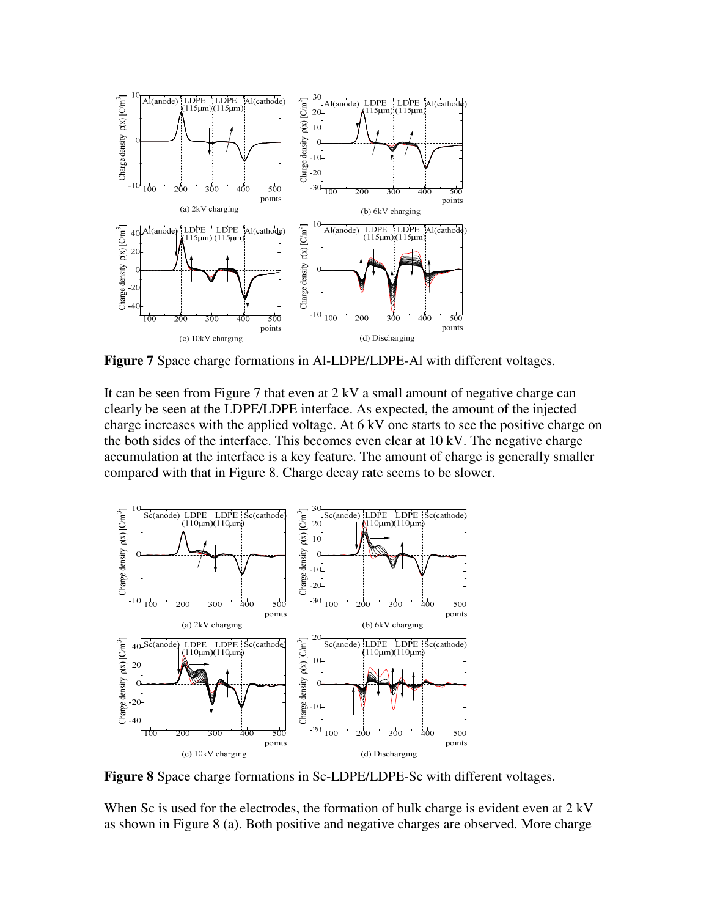

**Figure 7** Space charge formations in Al-LDPE/LDPE-Al with different voltages.

It can be seen from Figure 7 that even at 2 kV a small amount of negative charge can clearly be seen at the LDPE/LDPE interface. As expected, the amount of the injected charge increases with the applied voltage. At 6 kV one starts to see the positive charge on the both sides of the interface. This becomes even clear at 10 kV. The negative charge accumulation at the interface is a key feature. The amount of charge is generally smaller compared with that in Figure 8. Charge decay rate seems to be slower.



**Figure 8** Space charge formations in Sc-LDPE/LDPE-Sc with different voltages.

When Sc is used for the electrodes, the formation of bulk charge is evident even at 2 kV as shown in Figure 8 (a). Both positive and negative charges are observed. More charge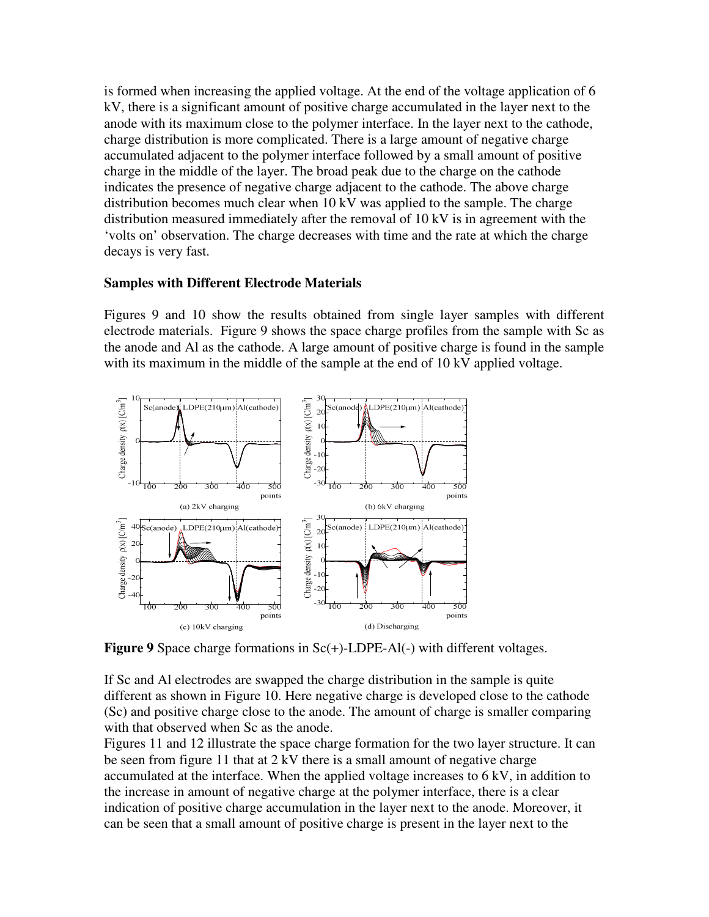is formed when increasing the applied voltage. At the end of the voltage application of 6 kV, there is a significant amount of positive charge accumulated in the layer next to the anode with its maximum close to the polymer interface. In the layer next to the cathode, charge distribution is more complicated. There is a large amount of negative charge accumulated adjacent to the polymer interface followed by a small amount of positive charge in the middle of the layer. The broad peak due to the charge on the cathode indicates the presence of negative charge adjacent to the cathode. The above charge distribution becomes much clear when 10 kV was applied to the sample. The charge distribution measured immediately after the removal of 10 kV is in agreement with the 'volts on' observation. The charge decreases with time and the rate at which the charge decays is very fast.

#### **Samples with Different Electrode Materials**

Figures 9 and 10 show the results obtained from single layer samples with different electrode materials. Figure 9 shows the space charge profiles from the sample with Sc as the anode and Al as the cathode. A large amount of positive charge is found in the sample with its maximum in the middle of the sample at the end of 10 kV applied voltage.



**Figure 9** Space charge formations in Sc(+)-LDPE-Al(-) with different voltages.

If Sc and Al electrodes are swapped the charge distribution in the sample is quite different as shown in Figure 10. Here negative charge is developed close to the cathode (Sc) and positive charge close to the anode. The amount of charge is smaller comparing with that observed when Sc as the anode.

Figures 11 and 12 illustrate the space charge formation for the two layer structure. It can be seen from figure 11 that at 2 kV there is a small amount of negative charge accumulated at the interface. When the applied voltage increases to 6 kV, in addition to the increase in amount of negative charge at the polymer interface, there is a clear indication of positive charge accumulation in the layer next to the anode. Moreover, it can be seen that a small amount of positive charge is present in the layer next to the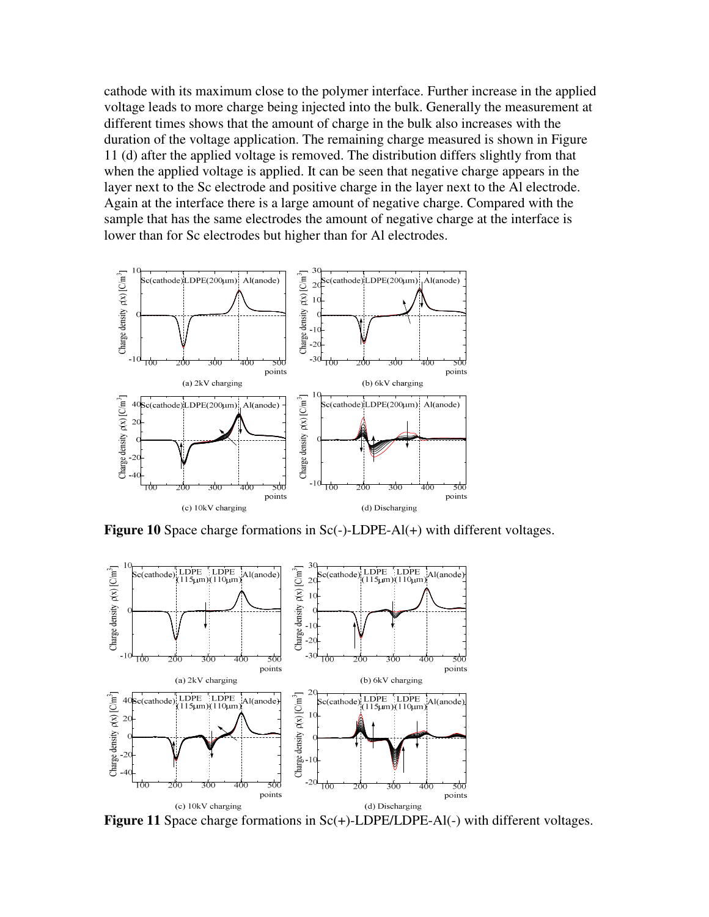cathode with its maximum close to the polymer interface. Further increase in the applied voltage leads to more charge being injected into the bulk. Generally the measurement at different times shows that the amount of charge in the bulk also increases with the duration of the voltage application. The remaining charge measured is shown in Figure 11 (d) after the applied voltage is removed. The distribution differs slightly from that when the applied voltage is applied. It can be seen that negative charge appears in the layer next to the Sc electrode and positive charge in the layer next to the Al electrode. Again at the interface there is a large amount of negative charge. Compared with the sample that has the same electrodes the amount of negative charge at the interface is lower than for Sc electrodes but higher than for Al electrodes.



**Figure 10** Space charge formations in Sc(-)-LDPE-Al(+) with different voltages.



**Figure 11** Space charge formations in Sc(+)-LDPE/LDPE-Al(-) with different voltages.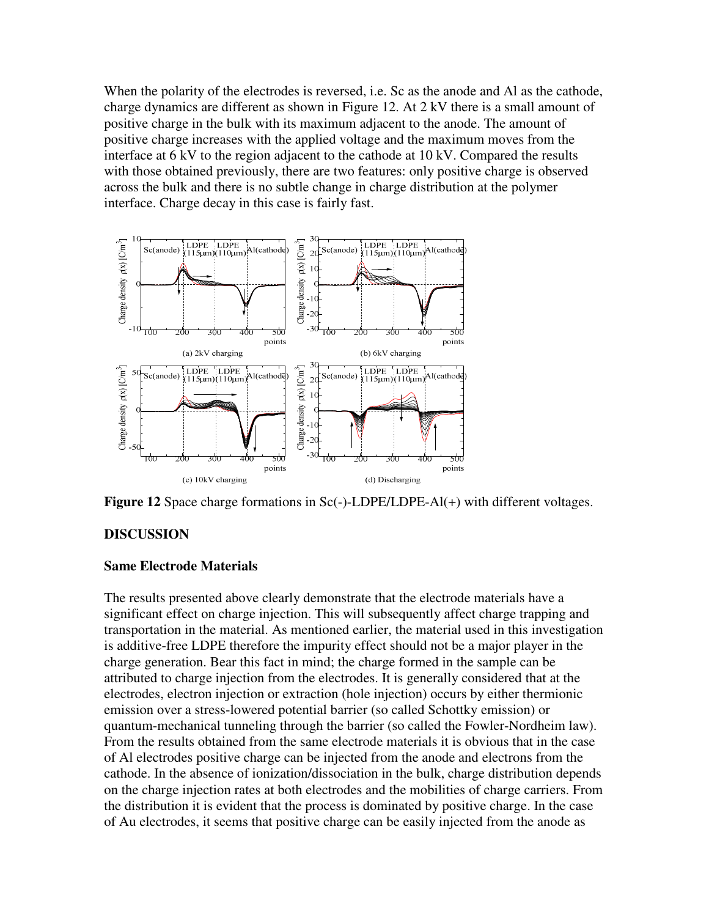When the polarity of the electrodes is reversed, i.e. Sc as the anode and Al as the cathode, charge dynamics are different as shown in Figure 12. At 2 kV there is a small amount of positive charge in the bulk with its maximum adjacent to the anode. The amount of positive charge increases with the applied voltage and the maximum moves from the interface at 6 kV to the region adjacent to the cathode at 10 kV. Compared the results with those obtained previously, there are two features: only positive charge is observed across the bulk and there is no subtle change in charge distribution at the polymer interface. Charge decay in this case is fairly fast.



**Figure 12** Space charge formations in Sc(-)-LDPE/LDPE-Al(+) with different voltages.

### **DISCUSSION**

#### **Same Electrode Materials**

The results presented above clearly demonstrate that the electrode materials have a significant effect on charge injection. This will subsequently affect charge trapping and transportation in the material. As mentioned earlier, the material used in this investigation is additive-free LDPE therefore the impurity effect should not be a major player in the charge generation. Bear this fact in mind; the charge formed in the sample can be attributed to charge injection from the electrodes. It is generally considered that at the electrodes, electron injection or extraction (hole injection) occurs by either thermionic emission over a stress-lowered potential barrier (so called Schottky emission) or quantum-mechanical tunneling through the barrier (so called the Fowler-Nordheim law). From the results obtained from the same electrode materials it is obvious that in the case of Al electrodes positive charge can be injected from the anode and electrons from the cathode. In the absence of ionization/dissociation in the bulk, charge distribution depends on the charge injection rates at both electrodes and the mobilities of charge carriers. From the distribution it is evident that the process is dominated by positive charge. In the case of Au electrodes, it seems that positive charge can be easily injected from the anode as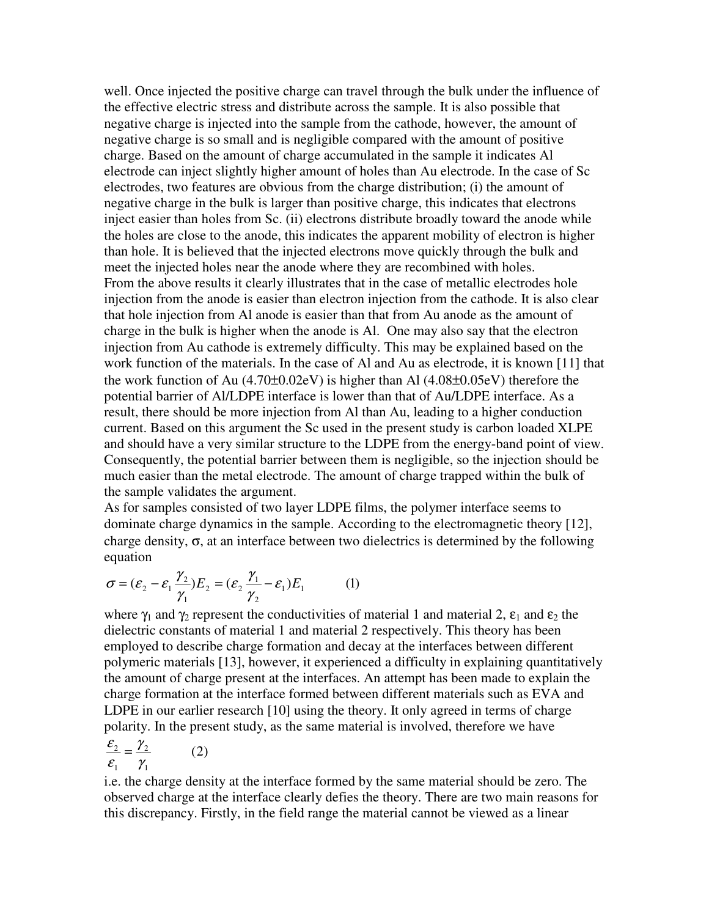well. Once injected the positive charge can travel through the bulk under the influence of the effective electric stress and distribute across the sample. It is also possible that negative charge is injected into the sample from the cathode, however, the amount of negative charge is so small and is negligible compared with the amount of positive charge. Based on the amount of charge accumulated in the sample it indicates Al electrode can inject slightly higher amount of holes than Au electrode. In the case of Sc electrodes, two features are obvious from the charge distribution; (i) the amount of negative charge in the bulk is larger than positive charge, this indicates that electrons inject easier than holes from Sc. (ii) electrons distribute broadly toward the anode while the holes are close to the anode, this indicates the apparent mobility of electron is higher than hole. It is believed that the injected electrons move quickly through the bulk and meet the injected holes near the anode where they are recombined with holes. From the above results it clearly illustrates that in the case of metallic electrodes hole injection from the anode is easier than electron injection from the cathode. It is also clear that hole injection from Al anode is easier than that from Au anode as the amount of charge in the bulk is higher when the anode is Al. One may also say that the electron injection from Au cathode is extremely difficulty. This may be explained based on the work function of the materials. In the case of Al and Au as electrode, it is known [11] that the work function of Au  $(4.70\pm0.02eV)$  is higher than Al  $(4.08\pm0.05eV)$  therefore the potential barrier of Al/LDPE interface is lower than that of Au/LDPE interface. As a result, there should be more injection from Al than Au, leading to a higher conduction current. Based on this argument the Sc used in the present study is carbon loaded XLPE and should have a very similar structure to the LDPE from the energy-band point of view. Consequently, the potential barrier between them is negligible, so the injection should be much easier than the metal electrode. The amount of charge trapped within the bulk of the sample validates the argument.

As for samples consisted of two layer LDPE films, the polymer interface seems to dominate charge dynamics in the sample. According to the electromagnetic theory [12], charge density,  $\sigma$ , at an interface between two dielectrics is determined by the following equation

$$
\sigma = (\varepsilon_2 - \varepsilon_1 \frac{\gamma_2}{\gamma_1}) E_2 = (\varepsilon_2 \frac{\gamma_1}{\gamma_2} - \varepsilon_1) E_1 \tag{1}
$$

where  $\gamma_1$  and  $\gamma_2$  represent the conductivities of material 1 and material 2,  $\varepsilon_1$  and  $\varepsilon_2$  the dielectric constants of material 1 and material 2 respectively. This theory has been employed to describe charge formation and decay at the interfaces between different polymeric materials [13], however, it experienced a difficulty in explaining quantitatively the amount of charge present at the interfaces. An attempt has been made to explain the charge formation at the interface formed between different materials such as EVA and LDPE in our earlier research [10] using the theory. It only agreed in terms of charge polarity. In the present study, as the same material is involved, therefore we have

$$
\frac{\varepsilon_2}{\varepsilon_1} = \frac{\gamma_2}{\gamma_1} \tag{2}
$$

i.e. the charge density at the interface formed by the same material should be zero. The observed charge at the interface clearly defies the theory. There are two main reasons for this discrepancy. Firstly, in the field range the material cannot be viewed as a linear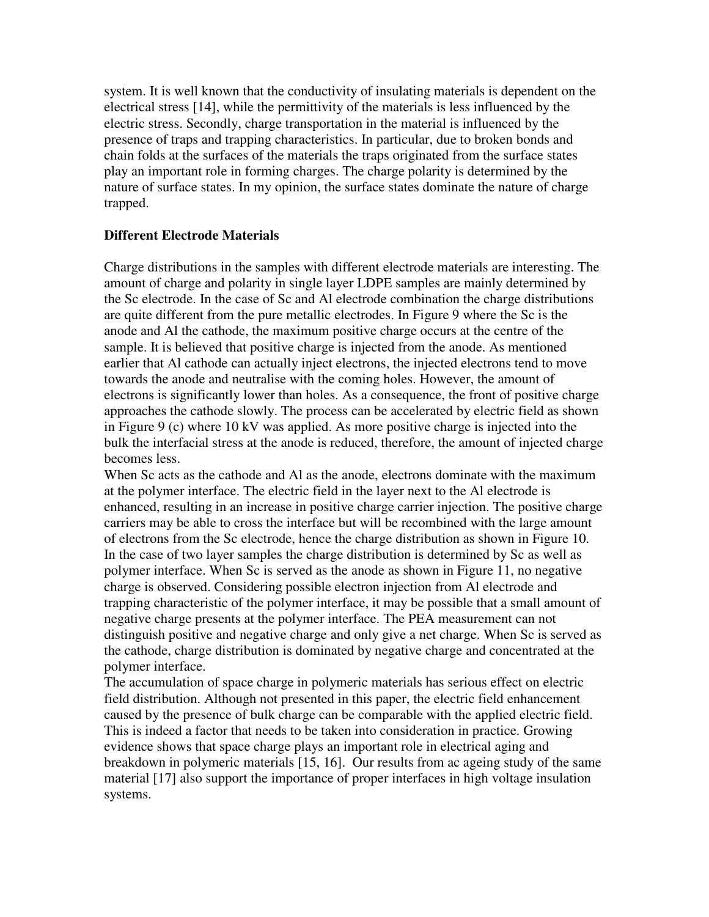system. It is well known that the conductivity of insulating materials is dependent on the electrical stress [14], while the permittivity of the materials is less influenced by the electric stress. Secondly, charge transportation in the material is influenced by the presence of traps and trapping characteristics. In particular, due to broken bonds and chain folds at the surfaces of the materials the traps originated from the surface states play an important role in forming charges. The charge polarity is determined by the nature of surface states. In my opinion, the surface states dominate the nature of charge trapped.

#### **Different Electrode Materials**

Charge distributions in the samples with different electrode materials are interesting. The amount of charge and polarity in single layer LDPE samples are mainly determined by the Sc electrode. In the case of Sc and Al electrode combination the charge distributions are quite different from the pure metallic electrodes. In Figure 9 where the Sc is the anode and Al the cathode, the maximum positive charge occurs at the centre of the sample. It is believed that positive charge is injected from the anode. As mentioned earlier that Al cathode can actually inject electrons, the injected electrons tend to move towards the anode and neutralise with the coming holes. However, the amount of electrons is significantly lower than holes. As a consequence, the front of positive charge approaches the cathode slowly. The process can be accelerated by electric field as shown in Figure 9 (c) where 10 kV was applied. As more positive charge is injected into the bulk the interfacial stress at the anode is reduced, therefore, the amount of injected charge becomes less.

When Sc acts as the cathode and Al as the anode, electrons dominate with the maximum at the polymer interface. The electric field in the layer next to the Al electrode is enhanced, resulting in an increase in positive charge carrier injection. The positive charge carriers may be able to cross the interface but will be recombined with the large amount of electrons from the Sc electrode, hence the charge distribution as shown in Figure 10. In the case of two layer samples the charge distribution is determined by Sc as well as polymer interface. When Sc is served as the anode as shown in Figure 11, no negative charge is observed. Considering possible electron injection from Al electrode and trapping characteristic of the polymer interface, it may be possible that a small amount of negative charge presents at the polymer interface. The PEA measurement can not distinguish positive and negative charge and only give a net charge. When Sc is served as the cathode, charge distribution is dominated by negative charge and concentrated at the polymer interface.

The accumulation of space charge in polymeric materials has serious effect on electric field distribution. Although not presented in this paper, the electric field enhancement caused by the presence of bulk charge can be comparable with the applied electric field. This is indeed a factor that needs to be taken into consideration in practice. Growing evidence shows that space charge plays an important role in electrical aging and breakdown in polymeric materials [15, 16]. Our results from ac ageing study of the same material [17] also support the importance of proper interfaces in high voltage insulation systems.